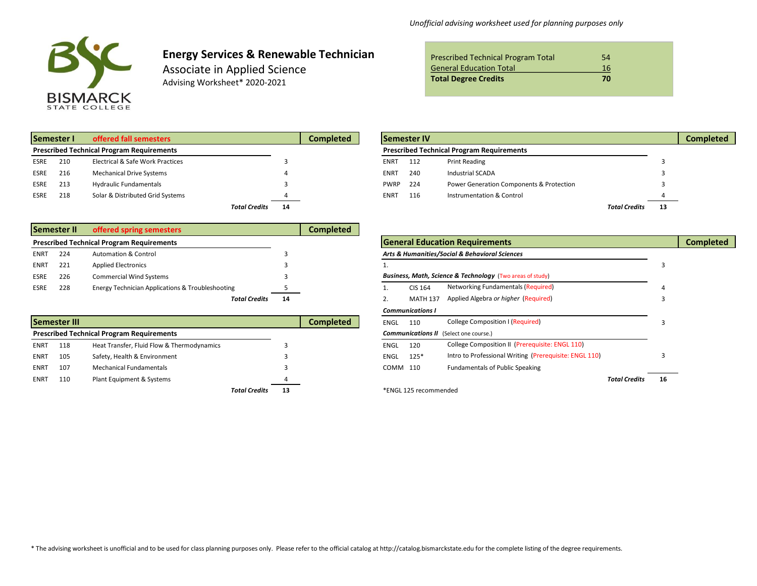

# **Energy Services & Renewable Technician**

Associate in Applied Science Advising Worksheet\* 2020-2021

| <b>Prescribed Technical Program Total</b> | 54 |
|-------------------------------------------|----|
| <b>General Education Total</b>            | 16 |
| <b>Total Degree Credits</b>               | 70 |

|             | <b>Semester I</b> | offered fall semesters                           |                      | <b>Completed</b> |             | <b>Semester IV</b> |                                                  |                      |    |
|-------------|-------------------|--------------------------------------------------|----------------------|------------------|-------------|--------------------|--------------------------------------------------|----------------------|----|
|             |                   | <b>Prescribed Technical Program Requirements</b> |                      |                  |             |                    | <b>Prescribed Technical Program Requirements</b> |                      |    |
| <b>ESRE</b> | 210               | <b>Electrical &amp; Safe Work Practices</b>      |                      |                  | ENRT        | 112                | <b>Print Reading</b>                             |                      |    |
| <b>ESRE</b> | 216               | <b>Mechanical Drive Systems</b>                  |                      |                  | <b>ENRT</b> | 240                | Industrial SCADA                                 |                      |    |
| <b>ESRE</b> | 213               | <b>Hydraulic Fundamentals</b>                    |                      |                  | <b>PWRP</b> | 224                | Power Generation Components & Protection         |                      |    |
| <b>ESRE</b> | 218               | Solar & Distributed Grid Systems                 |                      |                  | <b>ENRT</b> | 116                | Instrumentation & Control                        |                      |    |
|             |                   |                                                  | <b>Total Credits</b> | 14               |             |                    |                                                  | <b>Total Credits</b> | 13 |

|             | Semester II | offered spring semesters                                    |    | <b>Completed</b> |                |                                                                      |  |
|-------------|-------------|-------------------------------------------------------------|----|------------------|----------------|----------------------------------------------------------------------|--|
|             |             | <b>Prescribed Technical Program Requirements</b>            |    |                  |                | <b>General Education Requirements</b>                                |  |
| <b>ENRT</b> | 224         | <b>Automation &amp; Control</b>                             |    |                  |                | Arts & Humanities/Social & Behavioral Sciences                       |  |
| <b>ENRT</b> | -221        | <b>Applied Electronics</b>                                  |    |                  |                |                                                                      |  |
| <b>ESRE</b> | 226         | <b>Commercial Wind Systems</b>                              |    |                  |                | <b>Business, Math, Science &amp; Technology (Two areas of study)</b> |  |
| <b>ESRE</b> | 228         | <b>Energy Technician Applications &amp; Troubleshooting</b> |    |                  | <b>CIS 164</b> | Networking Fundamentals (Required)                                   |  |
|             |             | <b>Total Credits</b>                                        | 14 |                  | MATH 137       | Applied Algebra or higher (Required)                                 |  |

|             | Semester III |                                                  |                            | <b>Completed</b> | College Composition I (Required)<br><b>ENGL</b><br>110 |                       |                                                        |                      |    |
|-------------|--------------|--------------------------------------------------|----------------------------|------------------|--------------------------------------------------------|-----------------------|--------------------------------------------------------|----------------------|----|
|             |              | <b>Prescribed Technical Program Requirements</b> |                            |                  |                                                        |                       | <b>Communications II</b> (Select one course.)          |                      |    |
| <b>ENRT</b> | 118          | Heat Transfer, Fluid Flow & Thermodynamics       |                            |                  | ENGL                                                   | 120                   | College Composition II (Prerequisite: ENGL 110)        |                      |    |
| ENRT        | 105          | Safety, Health & Environment                     |                            |                  | ENGL                                                   | $125*$                | Intro to Professional Writing (Prerequisite: ENGL 110) |                      |    |
| <b>ENRT</b> | 107          | <b>Mechanical Fundamentals</b>                   |                            |                  | COMM 110                                               |                       | <b>Fundamentals of Public Speaking</b>                 |                      |    |
| <b>ENRT</b> | 110          | Plant Equipment & Systems                        |                            |                  |                                                        |                       |                                                        | <b>Total Credits</b> | 16 |
|             |              |                                                  | <b>Total Credits</b><br>13 |                  |                                                        | *ENGL 125 recommended |                                                        |                      |    |

| Semester I  | offered fall semesters                           |                      | <b>Completed</b> |             | <b>Semester IV</b> |                                                  |               |    | <b>Completed</b> |
|-------------|--------------------------------------------------|----------------------|------------------|-------------|--------------------|--------------------------------------------------|---------------|----|------------------|
|             | <b>Prescribed Technical Program Requirements</b> |                      |                  |             |                    | <b>Prescribed Technical Program Requirements</b> |               |    |                  |
| ESRE<br>210 | Electrical & Safe Work Practices                 |                      |                  | <b>ENRT</b> | 112                | <b>Print Reading</b>                             |               |    |                  |
| ESRE<br>216 | <b>Mechanical Drive Systems</b>                  |                      |                  | <b>ENRT</b> | 240                | Industrial SCADA                                 |               |    |                  |
| ESRE<br>213 | <b>Hydraulic Fundamentals</b>                    |                      |                  | <b>PWRP</b> | - 224              | Power Generation Components & Protection         |               |    |                  |
| ESRE<br>218 | Solar & Distributed Grid Systems                 |                      |                  | <b>ENRT</b> | 116                | Instrumentation & Control                        |               |    |                  |
|             |                                                  | <b>Total Credits</b> | 14               |             |                    |                                                  | Total Credits | 13 |                  |

|      |              | <b>Prescribed Technical Program Requirements</b> |    |                  |             |                         | <b>General Education Requirements</b>                     |                      |    | <b>Completed</b> |
|------|--------------|--------------------------------------------------|----|------------------|-------------|-------------------------|-----------------------------------------------------------|----------------------|----|------------------|
| ENRT | 224          | <b>Automation &amp; Control</b>                  |    |                  |             |                         | Arts & Humanities/Social & Behavioral Sciences            |                      |    |                  |
| ENRT | 221          | <b>Applied Electronics</b>                       |    |                  |             |                         |                                                           |                      |    |                  |
| ESRE | 226          | <b>Commercial Wind Systems</b>                   |    |                  |             |                         | Business, Math, Science & Technology (Two areas of study) |                      |    |                  |
| ESRE | 228          | Energy Technician Applications & Troubleshooting |    |                  |             | <b>CIS 164</b>          | Networking Fundamentals (Required)                        |                      |    |                  |
|      |              | <b>Total Credits</b>                             | 14 |                  |             | <b>MATH 137</b>         | Applied Algebra or higher (Required)                      |                      |    |                  |
|      |              |                                                  |    |                  |             | <b>Communications I</b> |                                                           |                      |    |                  |
|      | Semester III |                                                  |    | <b>Completed</b> | <b>ENGL</b> | 110                     | <b>College Composition I (Required)</b>                   |                      |    |                  |
|      |              | <b>Prescribed Technical Program Requirements</b> |    |                  |             |                         | <b>Communications II</b> (Select one course.)             |                      |    |                  |
| ENRT | 118          | Heat Transfer, Fluid Flow & Thermodynamics       |    |                  | <b>ENGL</b> | 120                     | College Composition II (Prerequisite: ENGL 110)           |                      |    |                  |
| ENRT | 105          | Safety, Health & Environment                     |    |                  | ENGL        | $125*$                  | Intro to Professional Writing (Prerequisite: ENGL 110)    |                      |    |                  |
| ENRT | 107          | <b>Mechanical Fundamentals</b>                   |    |                  | COMM 110    |                         | <b>Fundamentals of Public Speaking</b>                    |                      |    |                  |
| ENRT | 110          | Plant Equipment & Systems                        |    |                  |             |                         |                                                           | <b>Total Credits</b> | 16 |                  |
|      |              | <b>Total Credits</b>                             | 13 |                  |             | *ENGL 125 recommended   |                                                           |                      |    |                  |

\* The advising worksheet is unofficial and to be used for class planning purposes only. Please refer to the official catalog at http://catalog.bismarckstate.edu for the complete listing of the degree requirements.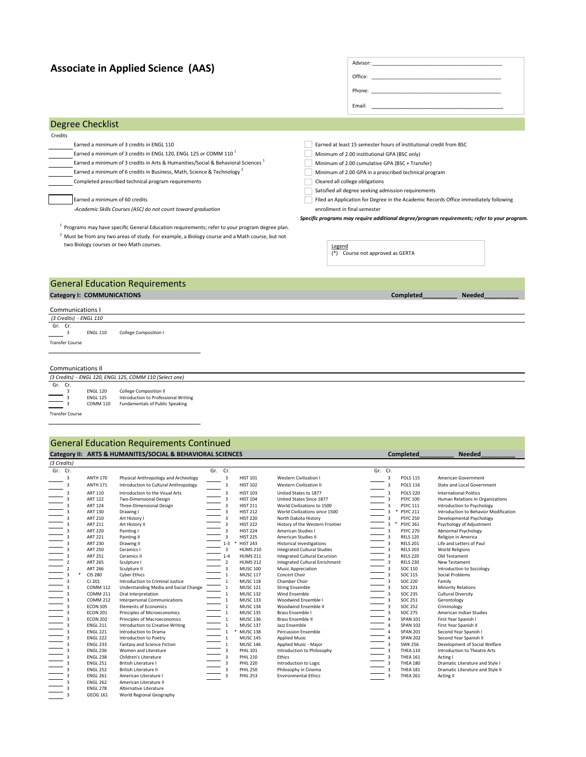## **Associate in Applied Science (AAS)**

| ASSULIQUE III APPIIEU SCIETICE (AAS)                                                                       |                              |                                                                                                                                                                                                                                |               |
|------------------------------------------------------------------------------------------------------------|------------------------------|--------------------------------------------------------------------------------------------------------------------------------------------------------------------------------------------------------------------------------|---------------|
|                                                                                                            |                              | Phone: The contract of the contract of the contract of the contract of the contract of the contract of the contract of the contract of the contract of the contract of the contract of the contract of the contract of the con |               |
|                                                                                                            |                              | Email: The contract of the contract of the contract of the contract of the contract of the contract of the contract of the contract of the contract of the contract of the contract of the contract of the contract of the con |               |
| Degree Checklist                                                                                           |                              |                                                                                                                                                                                                                                |               |
| Credits                                                                                                    |                              |                                                                                                                                                                                                                                |               |
| Earned a minimum of 3 credits in ENGL 110                                                                  |                              | Earned at least 15 semester hours of institutional credit from BSC                                                                                                                                                             |               |
| Earned a minimum of 3 credits in ENGL 120, ENGL 125 or COMM 110 <sup>1</sup>                               |                              | Minimum of 2.00 institutional GPA (BSC only)                                                                                                                                                                                   |               |
| Earned a minimum of 3 credits in Arts & Humanities/Social & Behavioral Sciences <sup>1</sup>               |                              | Minimum of 2.00 cumulative GPA (BSC + Transfer)                                                                                                                                                                                |               |
| Earned a minimum of 6 credits in Business, Math, Science & Technology <sup>2</sup>                         |                              | Minimum of 2.00 GPA in a prescribed technical program                                                                                                                                                                          |               |
| Completed prescribed technical program requirements                                                        |                              | Cleared all college obligations                                                                                                                                                                                                |               |
|                                                                                                            |                              | Satisfied all degree seeking admission requirements                                                                                                                                                                            |               |
| Earned a minimum of 60 credits                                                                             |                              | Filed an Application for Degree in the Academic Records Office immediately following                                                                                                                                           |               |
| -Academic Skills Courses (ASC) do not count toward graduation                                              | enrollment in final semester |                                                                                                                                                                                                                                |               |
|                                                                                                            |                              | Specific programs may require additional degree/program requirements; refer to your program.                                                                                                                                   |               |
| <sup>1</sup> Programs may have specific General Education requirements; refer to your program degree plan. |                              |                                                                                                                                                                                                                                |               |
| <sup>2</sup> Must be from any two areas of study. For example, a Biology course and a Math course, but not |                              |                                                                                                                                                                                                                                |               |
| two Biology courses or two Math courses.                                                                   | Legend                       | (*) Course not approved as GERTA                                                                                                                                                                                               |               |
|                                                                                                            |                              |                                                                                                                                                                                                                                |               |
| <b>General Education Requirements</b>                                                                      |                              |                                                                                                                                                                                                                                |               |
| Category I: COMMUNICATIONS                                                                                 |                              | <b>Completed</b>                                                                                                                                                                                                               | <b>Needed</b> |
| <b>Communications I</b>                                                                                    |                              |                                                                                                                                                                                                                                |               |
| (3 Credits) - ENGL 110                                                                                     |                              |                                                                                                                                                                                                                                |               |
| Gr. Cr.<br>3<br><b>ENGL 110</b><br>College Composition I                                                   |                              |                                                                                                                                                                                                                                |               |
| Transfer Course                                                                                            |                              |                                                                                                                                                                                                                                |               |
| <b>Communications II</b>                                                                                   |                              |                                                                                                                                                                                                                                |               |

Advisor: \_

*(3 Credits) - ENGL 120, ENGL 125, COMM 110 (Select one)*   $\frac{(3 \text{ Credits})}{\text{Gr. Cr.}}$ <br> $\frac{3}{3}$ <br> $\frac{3}{4}$ <br> $\frac{3}{3}$ 3 ENGL 120 College Composition II 3 ENGL 125 Introduction to Professional Writing 3 COMM 110 Fundamentals of Public Speaking

#### Transfer Course

 $\overline{\phantom{a}}$ 

### Category II: ARTS & HUMANITES/SOCIAL & BEHAVIORAL SCIENCES **Completed\_\_\_\_\_\_\_\_\_\_** Needed\_ General Education Requirements Continued

| (3 Credits)    |                 |                                       |                         |   |                 |                                      |                         |                 |                                       |
|----------------|-----------------|---------------------------------------|-------------------------|---|-----------------|--------------------------------------|-------------------------|-----------------|---------------------------------------|
| Gr. Cr.        |                 |                                       | Gr. Cr.                 |   |                 |                                      | Gr. Cr.                 |                 |                                       |
| 3              | <b>ANTH 170</b> | Physical Anthropology and Archeology  | $\overline{3}$          |   | <b>HIST 101</b> | Western Civilization I               | 3                       | <b>POLS 115</b> | American Government                   |
| 3              | <b>ANTH 171</b> | Introduction to Cultural Anthropology | 3                       |   | <b>HIST 102</b> | <b>Western Civilization II</b>       | 3                       | <b>POLS 116</b> | State and Local Government            |
| 3              | ART 110         | Introduction to the Visual Arts       | 3                       |   | <b>HIST 103</b> | United States to 1877                | 3                       | <b>POLS 220</b> | <b>International Politics</b>         |
| 3              | <b>ART 122</b>  | Two-Dimensional Design                | $\overline{\mathbf{3}}$ |   | <b>HIST 104</b> | United States Since 1877             | 3                       | <b>PSYC 100</b> | Human Relations In Organizations      |
| 3              | <b>ART 124</b>  | Three-Dimensional Design              | $\overline{3}$          |   | <b>HIST 211</b> | World Civilizations to 1500          | 3                       | <b>PSYC 111</b> | Introduction to Psychology            |
| 3              | <b>ART 130</b>  | Drawing I                             | $\overline{3}$          |   | <b>HIST 212</b> | World Civilizations since 1500       | $\overline{\mathbf{3}}$ | <b>PSYC 211</b> | Introduction to Behavior Modification |
| 3              | <b>ART 210</b>  | Art History I                         | $\overline{\mathbf{3}}$ |   | <b>HIST 220</b> | North Dakota History                 | 3                       | <b>PSYC 250</b> | Developmental Psychology              |
| 3              | <b>ART 211</b>  | Art History II                        | $\overline{\mathbf{3}}$ |   | <b>HIST 222</b> | History of the Western Frontier      | 不<br>3                  | <b>PSYC 261</b> | Psychology of Adjustment              |
| 3              | <b>ART 220</b>  | Painting I                            | $\overline{3}$          |   | <b>HIST 224</b> | American Studies I                   | 3                       | <b>PSYC 270</b> | Abnormal Psychology                   |
| 3              | <b>ART 221</b>  | Painting II                           | $\overline{\mathbf{3}}$ |   | <b>HIST 225</b> | American Studies II                  | 3                       | <b>RELS 120</b> | Religion in America                   |
| 3              | <b>ART 230</b>  | Drawing II                            | $1 - 3$                 |   | <b>HIST 243</b> | <b>Historical Investigations</b>     | 3                       | <b>RELS 201</b> | Life and Letters of Paul              |
| 3              | <b>ART 250</b>  | Ceramics I                            | $\overline{\mathbf{3}}$ |   | <b>HUMS 210</b> | <b>Integrated Cultural Studies</b>   |                         | <b>RELS 203</b> | <b>World Religions</b>                |
| 3              | <b>ART 251</b>  | Ceramics II                           | $1 - 4$                 |   | <b>HUMS 211</b> | <b>Integrated Cultural Excursion</b> |                         | <b>RELS 220</b> | Old Testament                         |
|                | <b>ART 265</b>  | Sculpture I                           | $\overline{2}$          |   | <b>HUMS 212</b> | Integrated Cultural Enrichment       |                         | <b>RELS 230</b> | New Testament                         |
| 2              | <b>ART 266</b>  | Sculpture II                          | $\overline{3}$          |   | <b>MUSC 100</b> | <b>Music Appreciation</b>            | 3                       | SOC 110         | Introduction to Sociology             |
| 3              | <b>CIS 280</b>  | <b>Cyber Ethics</b>                   | $\mathbf{1}$            |   | <b>MUSC 117</b> | Concert Choir                        | 3                       | SOC 115         | Social Problems                       |
| 3              | CJ 201          | Introduction to Criminal Justice      | $\mathbf{1}$            |   | <b>MUSC 118</b> | Chamber Choir                        |                         | <b>SOC 220</b>  | Family                                |
| 3              | <b>COMM 112</b> | Understanding Media and Social Change | $\mathbf{1}$            |   | <b>MUSC 121</b> | <b>String Ensemble</b>               | $\overline{3}$          | SOC 221         | Minority Relations                    |
| 3              | <b>COMM 211</b> | Oral Interpretation                   | 1                       |   | <b>MUSC 132</b> | Wind Fnsemble                        | 3                       | SOC 235         | Cultural Diversity                    |
| 3              | <b>COMM 212</b> | <b>Interpersonal Communications</b>   | $\mathbf{1}$            |   | <b>MUSC 133</b> | Woodwind Ensemble I                  |                         | SOC 251         | Gerontology                           |
| 3              | <b>ECON 105</b> | <b>Elements of Economics</b>          | 1                       |   | <b>MUSC 134</b> | Woodwind Ensemble II                 | 3                       | <b>SOC 252</b>  | Criminology                           |
| 3              | <b>ECON 201</b> | Principles of Microeconomics          | $\mathbf{1}$            |   | <b>MUSC 135</b> | Brass Ensemble I                     | $\overline{\mathbf{3}}$ | <b>SOC 275</b>  | American Indian Studies               |
| 3              | <b>ECON 202</b> | Principles of Macroeconomics          | $\mathbf{1}$            |   | <b>MUSC 136</b> | Brass Ensemble II                    | $\overline{4}$          | <b>SPAN 101</b> | First Year Spanish I                  |
| 3              | <b>ENGL 211</b> | Introduction to Creative Writing      | $\mathbf{1}$            |   | <b>MUSC 137</b> | Jazz Ensemble                        |                         | <b>SPAN 102</b> | First Year Spanish II                 |
| 3              | <b>ENGL 221</b> | Introduction to Drama                 | $\mathbf{1}$            | * | <b>MUSC 138</b> | <b>Percussion Ensemble</b>           | 4                       | <b>SPAN 201</b> | Second Year Spanish I                 |
| 3              | <b>ENGL 222</b> | Introduction to Poetry                | $\mathbf{1}$            |   | <b>MUSC 145</b> | Applied Music                        | 4                       | <b>SPAN 202</b> | Second Year Spanish II                |
|                | <b>ENGL 233</b> | Fantasy and Science Fiction           | $\mathbf 1$             |   | <b>MUSC 146</b> | Applied Music - Major                |                         | <b>SWK 256</b>  | Development of Social Welfare         |
| 3              | <b>ENGL 236</b> | Women and Literature                  | $\overline{3}$          |   | <b>PHIL 101</b> | Introduction to Philosophy           |                         | <b>THEA 110</b> | Introduction to Theatre Arts          |
| 3              | <b>ENGL 238</b> | Children's Literature                 | $\overline{3}$          |   | <b>PHIL 210</b> | Ethics                               |                         | <b>THEA 161</b> | Acting I                              |
| 3              | <b>ENGL 251</b> | <b>British Literature I</b>           | $\overline{3}$          |   | <b>PHIL 220</b> | Introduction to Logic                |                         | <b>THEA 180</b> | Dramatic Literature and Style I       |
| 3              | <b>ENGL 252</b> | <b>British Literature II</b>          | $\overline{3}$          |   | <b>PHIL 250</b> | Philosophy in Cinema                 | 3                       | <b>THEA 181</b> | Dramatic Literature and Style II      |
| 3              | <b>ENGL 261</b> | American Literature I                 | $\overline{3}$          |   | <b>PHIL 253</b> | <b>Environmental Ethics</b>          | 3                       | <b>THEA 261</b> | Acting II                             |
| 3              | <b>ENGL 262</b> | American Literature II                |                         |   |                 |                                      |                         |                 |                                       |
| 3              | <b>ENGL 278</b> | Alternative Literature                |                         |   |                 |                                      |                         |                 |                                       |
| $\overline{3}$ | GEOG 161        | World Regional Geography              |                         |   |                 |                                      |                         |                 |                                       |